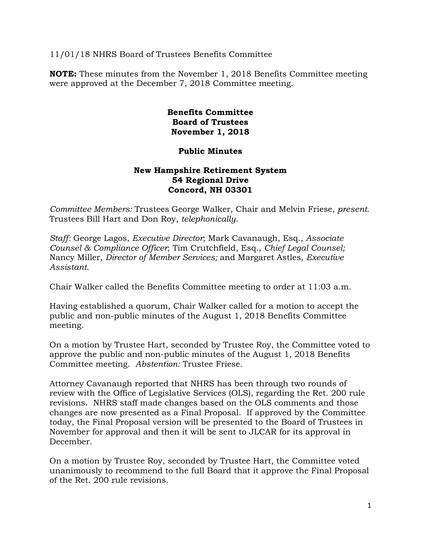11/01/18 NHRS Board of Trustees Benefits Committee

**NOTE:** These minutes from the November 1, 2018 Benefits Committee meeting were approved at the December 7, 2018 Committee meeting.

> **Benefits Committee Board of Trustees November 1, 2018**

## **Public Minutes**

## **New Hampshire Retirement System 54 Regional Drive Concord, NH 03301**

*Committee Members:* Trustees George Walker, Chair and Melvin Friese, *present.*  Trustees Bill Hart and Don Roy, *telephonically.* 

*Staff:* George Lagos, *Executive Director*; Mark Cavanaugh, Esq., *Associate Counsel & Compliance Officer*; Tim Crutchfield, Esq., *Chief Legal Counsel;* Nancy Miller, *Director of Member Services;* and Margaret Astles, *Executive Assistant.* 

Chair Walker called the Benefits Committee meeting to order at 11:03 a.m.

Having established a quorum, Chair Walker called for a motion to accept the public and non-public minutes of the August 1, 2018 Benefits Committee meeting.

On a motion by Trustee Hart, seconded by Trustee Roy, the Committee voted to approve the public and non-public minutes of the August 1, 2018 Benefits Committee meeting. *Abstention:* Trustee Friese.

Attorney Cavanaugh reported that NHRS has been through two rounds of review with the Office of Legislative Services (OLS), regarding the Ret. 200 rule revisions. NHRS staff made changes based on the OLS comments and those changes are now presented as a Final Proposal. If approved by the Committee today, the Final Proposal version will be presented to the Board of Trustees in November for approval and then it will be sent to JLCAR for its approval in December.

On a motion by Trustee Roy, seconded by Trustee Hart, the Committee voted unanimously to recommend to the full Board that it approve the Final Proposal of the Ret. 200 rule revisions.